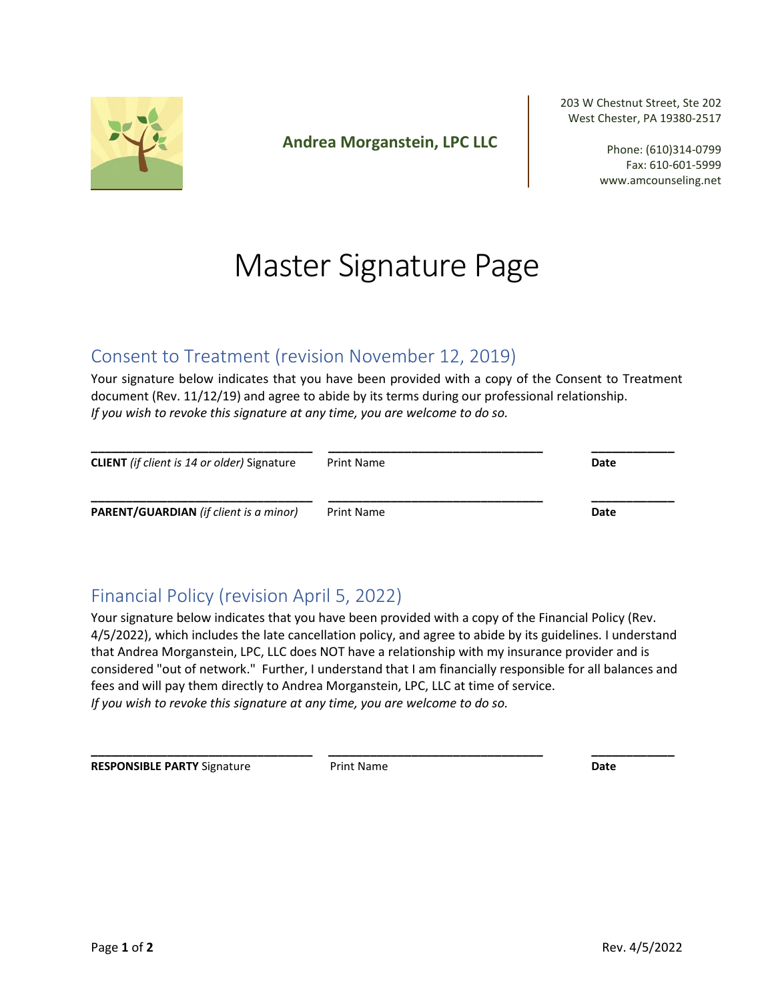

**Andrea Morganstein, LPC LLC**

203 W Chestnut Street, Ste 202 West Chester, PA 19380-2517

> Phone: (610)314-0799 Fax: 610-601-5999 www.amcounseling.net

# Master Signature Page

### Consent to Treatment (revision November 12, 2019)

Your signature below indicates that you have been provided with a copy of the Consent to Treatment document (Rev. 11/12/19) and agree to abide by its terms during our professional relationship. *If you wish to revoke this signature at any time, you are welcome to do so.* 

| <b>CLIENT</b> (if client is 14 or older) Signature | <b>Print Name</b> | Date |
|----------------------------------------------------|-------------------|------|
| PARENT/GUARDIAN (if client is a minor)             | Print Name        | Date |

## Financial Policy (revision April 5, 2022)

Your signature below indicates that you have been provided with a copy of the Financial Policy (Rev. 4/5/2022), which includes the late cancellation policy, and agree to abide by its guidelines. I understand that Andrea Morganstein, LPC, LLC does NOT have a relationship with my insurance provider and is considered "out of network." Further, I understand that I am financially responsible for all balances and fees and will pay them directly to Andrea Morganstein, LPC, LLC at time of service. *If you wish to revoke this signature at any time, you are welcome to do so.* 

**\_\_\_\_\_\_\_\_\_\_\_\_\_\_\_\_\_\_\_\_\_\_\_\_\_\_\_\_\_\_\_\_ \_\_\_\_\_\_\_\_\_\_\_\_\_\_\_\_\_\_\_\_\_\_\_\_\_\_\_\_\_\_\_ \_\_\_\_\_\_\_\_\_\_\_\_** 

**RESPONSIBLE PARTY** Signature **Date** Print Name **Date Date Date**